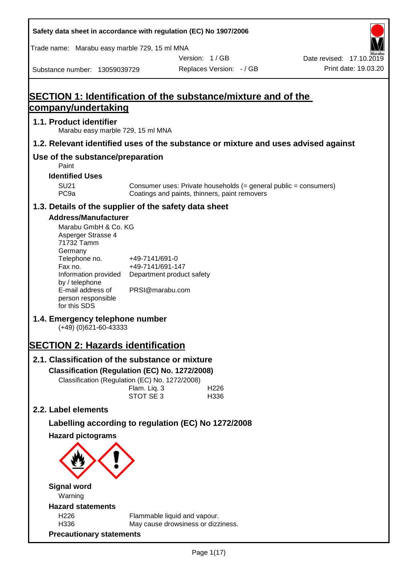| Safety data sheet in accordance with regulation (EC) No 1907/2006                                                                                                                                                                                                                                                                                                                                |                                                                                    |                                                                                                                   |                                                  |
|--------------------------------------------------------------------------------------------------------------------------------------------------------------------------------------------------------------------------------------------------------------------------------------------------------------------------------------------------------------------------------------------------|------------------------------------------------------------------------------------|-------------------------------------------------------------------------------------------------------------------|--------------------------------------------------|
| Trade name: Marabu easy marble 729, 15 ml MNA                                                                                                                                                                                                                                                                                                                                                    |                                                                                    |                                                                                                                   |                                                  |
| Substance number: 13059039729                                                                                                                                                                                                                                                                                                                                                                    |                                                                                    | Version: 1/GB<br>Replaces Version: - / GB                                                                         | Date revised: 17.10.2019<br>Print date: 19.03.20 |
|                                                                                                                                                                                                                                                                                                                                                                                                  |                                                                                    |                                                                                                                   |                                                  |
| SECTION 1: Identification of the substance/mixture and of the<br><u>company/undertaking</u>                                                                                                                                                                                                                                                                                                      |                                                                                    |                                                                                                                   |                                                  |
| 1.1. Product identifier<br>Marabu easy marble 729, 15 ml MNA                                                                                                                                                                                                                                                                                                                                     |                                                                                    |                                                                                                                   |                                                  |
| 1.2. Relevant identified uses of the substance or mixture and uses advised against                                                                                                                                                                                                                                                                                                               |                                                                                    |                                                                                                                   |                                                  |
| Use of the substance/preparation<br>Paint                                                                                                                                                                                                                                                                                                                                                        |                                                                                    |                                                                                                                   |                                                  |
| <b>Identified Uses</b>                                                                                                                                                                                                                                                                                                                                                                           |                                                                                    |                                                                                                                   |                                                  |
| <b>SU21</b><br>PC <sub>9a</sub>                                                                                                                                                                                                                                                                                                                                                                  |                                                                                    | Consumer uses: Private households (= general public = consumers)<br>Coatings and paints, thinners, paint removers |                                                  |
| 1.3. Details of the supplier of the safety data sheet                                                                                                                                                                                                                                                                                                                                            |                                                                                    |                                                                                                                   |                                                  |
| <b>Address/Manufacturer</b><br>Marabu GmbH & Co. KG<br>Asperger Strasse 4<br>71732 Tamm<br>Germany<br>Telephone no.<br>Fax no.<br>Information provided<br>by / telephone<br>E-mail address of<br>person responsible<br>for this SDS<br>1.4. Emergency telephone number<br>$(+49)$ (0)621-60-43333<br><b>SECTION 2: Hazards identification</b><br>2.1. Classification of the substance or mixture | +49-7141/691-0<br>+49-7141/691-147<br>Department product safety<br>PRSI@marabu.com |                                                                                                                   |                                                  |
| Classification (Regulation (EC) No. 1272/2008)<br>Classification (Regulation (EC) No. 1272/2008)                                                                                                                                                                                                                                                                                                 | Flam. Liq. 3<br>STOT SE 3                                                          | H <sub>226</sub><br>H336                                                                                          |                                                  |
| 2.2. Label elements                                                                                                                                                                                                                                                                                                                                                                              |                                                                                    |                                                                                                                   |                                                  |
| Labelling according to regulation (EC) No 1272/2008                                                                                                                                                                                                                                                                                                                                              |                                                                                    |                                                                                                                   |                                                  |
| <b>Hazard pictograms</b>                                                                                                                                                                                                                                                                                                                                                                         |                                                                                    |                                                                                                                   |                                                  |
| <b>Signal word</b><br>Warning<br><b>Hazard statements</b>                                                                                                                                                                                                                                                                                                                                        |                                                                                    |                                                                                                                   |                                                  |
| H226<br>H336<br><b>Precautionary statements</b>                                                                                                                                                                                                                                                                                                                                                  | Flammable liquid and vapour.                                                       | May cause drowsiness or dizziness.                                                                                |                                                  |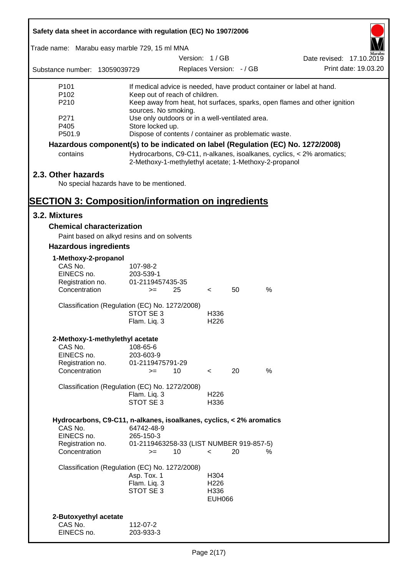| Safety data sheet in accordance with regulation (EC) No 1907/2006                                                                                                                    |                                                                                                                                                                                                                                                                                                                                              |                          |               |      |                          |  |  |
|--------------------------------------------------------------------------------------------------------------------------------------------------------------------------------------|----------------------------------------------------------------------------------------------------------------------------------------------------------------------------------------------------------------------------------------------------------------------------------------------------------------------------------------------|--------------------------|---------------|------|--------------------------|--|--|
| Trade name: Marabu easy marble 729, 15 ml MNA                                                                                                                                        |                                                                                                                                                                                                                                                                                                                                              |                          |               |      |                          |  |  |
|                                                                                                                                                                                      |                                                                                                                                                                                                                                                                                                                                              | Version: 1/GB            |               |      | Date revised: 17.10.2019 |  |  |
| Substance number: 13059039729                                                                                                                                                        |                                                                                                                                                                                                                                                                                                                                              | Replaces Version: - / GB |               |      | Print date: 19.03.20     |  |  |
| P <sub>101</sub><br>P <sub>102</sub><br>P210<br>P271<br>P405<br>P501.9                                                                                                               | If medical advice is needed, have product container or label at hand.<br>Keep out of reach of children.<br>Keep away from heat, hot surfaces, sparks, open flames and other ignition<br>sources. No smoking.<br>Use only outdoors or in a well-ventilated area.<br>Store locked up.<br>Dispose of contents / container as problematic waste. |                          |               |      |                          |  |  |
| Hazardous component(s) to be indicated on label (Regulation (EC) No. 1272/2008)                                                                                                      |                                                                                                                                                                                                                                                                                                                                              |                          |               |      |                          |  |  |
| contains                                                                                                                                                                             | Hydrocarbons, C9-C11, n-alkanes, isoalkanes, cyclics, < 2% aromatics;<br>2-Methoxy-1-methylethyl acetate; 1-Methoxy-2-propanol                                                                                                                                                                                                               |                          |               |      |                          |  |  |
| 2.3. Other hazards<br>No special hazards have to be mentioned.<br><b>SECTION 3: Composition/information on ingredients</b>                                                           |                                                                                                                                                                                                                                                                                                                                              |                          |               |      |                          |  |  |
| 3.2. Mixtures                                                                                                                                                                        |                                                                                                                                                                                                                                                                                                                                              |                          |               |      |                          |  |  |
| <b>Chemical characterization</b>                                                                                                                                                     |                                                                                                                                                                                                                                                                                                                                              |                          |               |      |                          |  |  |
| Paint based on alkyd resins and on solvents                                                                                                                                          |                                                                                                                                                                                                                                                                                                                                              |                          |               |      |                          |  |  |
| <b>Hazardous ingredients</b>                                                                                                                                                         |                                                                                                                                                                                                                                                                                                                                              |                          |               |      |                          |  |  |
| 1-Methoxy-2-propanol<br>CAS No.<br>EINECS no.<br>Registration no.<br>Concentration                                                                                                   | 107-98-2<br>203-539-1<br>01-2119457435-35<br>25<br>$>=$                                                                                                                                                                                                                                                                                      | $\prec$                  | 50            | %    |                          |  |  |
| Classification (Regulation (EC) No. 1272/2008)                                                                                                                                       | STOT SE 3<br>Flam. Liq. 3                                                                                                                                                                                                                                                                                                                    | H336<br>H <sub>226</sub> |               |      |                          |  |  |
| 2-Methoxy-1-methylethyl acetate<br>CAS No.<br>EINECS no.<br>Registration no.<br>Concentration                                                                                        | 108-65-6<br>203-603-9<br>01-2119475791-29<br>10<br>$>=$                                                                                                                                                                                                                                                                                      | $\prec$                  | 20            | $\%$ |                          |  |  |
| Classification (Regulation (EC) No. 1272/2008)                                                                                                                                       | Flam. Liq. 3<br>STOT SE 3                                                                                                                                                                                                                                                                                                                    | H <sub>226</sub><br>H336 |               |      |                          |  |  |
| Hydrocarbons, C9-C11, n-alkanes, isoalkanes, cyclics, < 2% aromatics<br>CAS No.<br>EINECS no.<br>Registration no.<br>Concentration<br>Classification (Regulation (EC) No. 1272/2008) | 64742-48-9<br>265-150-3<br>01-2119463258-33 (LIST NUMBER 919-857-5)<br>10<br>$>=$<br>Asp. Tox. 1                                                                                                                                                                                                                                             | $\prec$<br>H304          | 20            | ℅    |                          |  |  |
| 2-Butoxyethyl acetate                                                                                                                                                                | Flam. Liq. 3<br>STOT SE 3                                                                                                                                                                                                                                                                                                                    | H226<br>H336             | <b>EUH066</b> |      |                          |  |  |
| CAS No.<br>EINECS no.                                                                                                                                                                | 112-07-2<br>203-933-3                                                                                                                                                                                                                                                                                                                        |                          |               |      |                          |  |  |

ī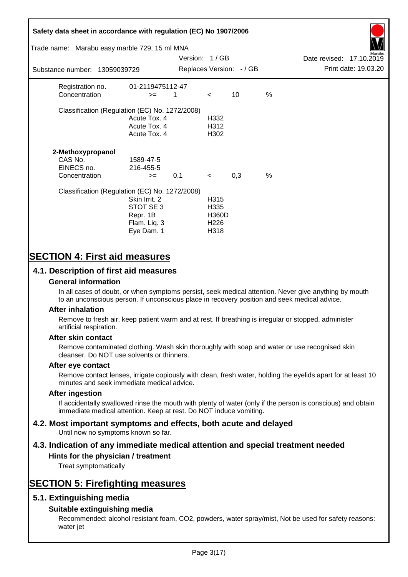# **Safety data sheet in accordance with regulation (EC) No 1907/2006** Substance number: 13059039729 Version: 1 / GB Replaces Version:  $-$  / GB Print date: 19.03.20 Date revised: 17.10.2019 Trade name: Marabu easy marble 729, 15 ml MNA Registration no. 01-2119475112-47  $\text{Concentration}$   $\geq$  1 < 10 % Classification (Regulation (EC) No. 1272/2008) Acute Tox. 4 H332 Acute Tox. 4 H312 Acute Tox. 4 H302 **2-Methoxypropanol** CAS No. 1589-47-5 EINECS no. 216-455-5  $\text{Concentration}$   $\rightarrow$  0.1 < 0.3 % Classification (Regulation (EC) No. 1272/2008) Skin Irrit. 2 H315 STOT SE 3 H335 Repr. 1B H360D Flam. Liq. 3 H226 Eye Dam. 1 H318

# **SECTION 4: First aid measures**

## **4.1. Description of first aid measures**

#### **General information**

In all cases of doubt, or when symptoms persist, seek medical attention. Never give anything by mouth to an unconscious person. If unconscious place in recovery position and seek medical advice.

#### **After inhalation**

Remove to fresh air, keep patient warm and at rest. If breathing is irregular or stopped, administer artificial respiration.

#### **After skin contact**

Remove contaminated clothing. Wash skin thoroughly with soap and water or use recognised skin cleanser. Do NOT use solvents or thinners.

#### **After eye contact**

Remove contact lenses, irrigate copiously with clean, fresh water, holding the eyelids apart for at least 10 minutes and seek immediate medical advice.

#### **After ingestion**

If accidentally swallowed rinse the mouth with plenty of water (only if the person is conscious) and obtain immediate medical attention. Keep at rest. Do NOT induce vomiting.

# **4.2. Most important symptoms and effects, both acute and delayed**

Until now no symptoms known so far.

# **4.3. Indication of any immediate medical attention and special treatment needed**

#### **Hints for the physician / treatment**

Treat symptomatically

# **SECTION 5: Firefighting measures**

### **5.1. Extinguishing media**

### **Suitable extinguishing media**

Recommended: alcohol resistant foam, CO2, powders, water spray/mist, Not be used for safety reasons: water jet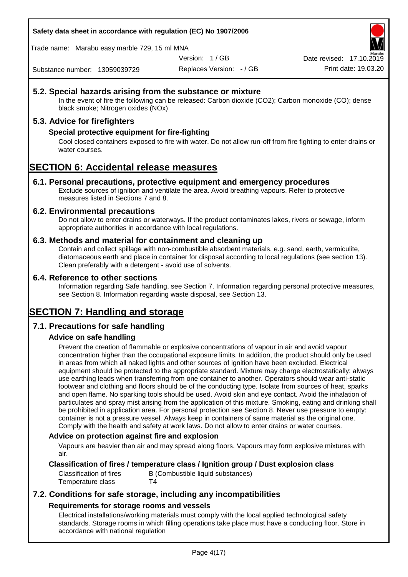**Safety data sheet in accordance with regulation (EC) No 1907/2006**

Trade name: Marabu easy marble 729, 15 ml MNA

Version: 1 / GB

Replaces Version: - / GB Print date: 19.03.20 Date revised: 17.10.2

Substance number: 13059039729

## **5.2. Special hazards arising from the substance or mixture**

In the event of fire the following can be released: Carbon dioxide (CO2); Carbon monoxide (CO); dense black smoke; Nitrogen oxides (NOx)

### **5.3. Advice for firefighters**

### **Special protective equipment for fire-fighting**

Cool closed containers exposed to fire with water. Do not allow run-off from fire fighting to enter drains or water courses.

# **SECTION 6: Accidental release measures**

#### **6.1. Personal precautions, protective equipment and emergency procedures**

Exclude sources of ignition and ventilate the area. Avoid breathing vapours. Refer to protective measures listed in Sections 7 and 8.

#### **6.2. Environmental precautions**

Do not allow to enter drains or waterways. If the product contaminates lakes, rivers or sewage, inform appropriate authorities in accordance with local regulations.

#### **6.3. Methods and material for containment and cleaning up**

Contain and collect spillage with non-combustible absorbent materials, e.g. sand, earth, vermiculite, diatomaceous earth and place in container for disposal according to local regulations (see section 13). Clean preferably with a detergent - avoid use of solvents.

#### **6.4. Reference to other sections**

Information regarding Safe handling, see Section 7. Information regarding personal protective measures, see Section 8. Information regarding waste disposal, see Section 13.

# **SECTION 7: Handling and storage**

### **7.1. Precautions for safe handling**

### **Advice on safe handling**

Prevent the creation of flammable or explosive concentrations of vapour in air and avoid vapour concentration higher than the occupational exposure limits. In addition, the product should only be used in areas from which all naked lights and other sources of ignition have been excluded. Electrical equipment should be protected to the appropriate standard. Mixture may charge electrostatically: always use earthing leads when transferring from one container to another. Operators should wear anti-static footwear and clothing and floors should be of the conducting type. Isolate from sources of heat, sparks and open flame. No sparking tools should be used. Avoid skin and eye contact. Avoid the inhalation of particulates and spray mist arising from the application of this mixture. Smoking, eating and drinking shall be prohibited in application area. For personal protection see Section 8. Never use pressure to empty: container is not a pressure vessel. Always keep in containers of same material as the original one. Comply with the health and safety at work laws. Do not allow to enter drains or water courses.

#### **Advice on protection against fire and explosion**

Vapours are heavier than air and may spread along floors. Vapours may form explosive mixtures with air.

#### **Classification of fires / temperature class / Ignition group / Dust explosion class**

Classification of fires B (Combustible liquid substances) Temperature class T4

## **7.2. Conditions for safe storage, including any incompatibilities Requirements for storage rooms and vessels**

Electrical installations/working materials must comply with the local applied technological safety standards. Storage rooms in which filling operations take place must have a conducting floor. Store in accordance with national regulation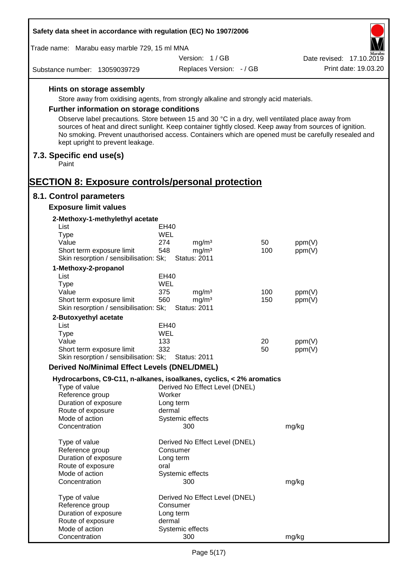| Safety data sheet in accordance with regulation (EC) No 1907/2006                                                                                                                                                                                  |                                                 |          |                          |  |
|----------------------------------------------------------------------------------------------------------------------------------------------------------------------------------------------------------------------------------------------------|-------------------------------------------------|----------|--------------------------|--|
| Trade name: Marabu easy marble 729, 15 ml MNA                                                                                                                                                                                                      |                                                 |          |                          |  |
|                                                                                                                                                                                                                                                    | Version: 1/GB                                   |          | Date revised: 17.10.2019 |  |
| Substance number: 13059039729                                                                                                                                                                                                                      | Replaces Version: - / GB                        |          | Print date: 19.03.20     |  |
| Hints on storage assembly                                                                                                                                                                                                                          |                                                 |          |                          |  |
| Store away from oxidising agents, from strongly alkaline and strongly acid materials.                                                                                                                                                              |                                                 |          |                          |  |
| Further information on storage conditions                                                                                                                                                                                                          |                                                 |          |                          |  |
| Observe label precautions. Store between 15 and 30 °C in a dry, well ventilated place away from                                                                                                                                                    |                                                 |          |                          |  |
| sources of heat and direct sunlight. Keep container tightly closed. Keep away from sources of ignition.<br>No smoking. Prevent unauthorised access. Containers which are opened must be carefully resealed and<br>kept upright to prevent leakage. |                                                 |          |                          |  |
| 7.3. Specific end use(s)                                                                                                                                                                                                                           |                                                 |          |                          |  |
| Paint                                                                                                                                                                                                                                              |                                                 |          |                          |  |
| SECTION 8: Exposure controls/personal protection                                                                                                                                                                                                   |                                                 |          |                          |  |
| 8.1. Control parameters<br><b>Exposure limit values</b>                                                                                                                                                                                            |                                                 |          |                          |  |
| 2-Methoxy-1-methylethyl acetate                                                                                                                                                                                                                    |                                                 |          |                          |  |
| List                                                                                                                                                                                                                                               | EH40                                            |          |                          |  |
| <b>Type</b>                                                                                                                                                                                                                                        | WEL                                             |          |                          |  |
| Value                                                                                                                                                                                                                                              | 274<br>mg/m <sup>3</sup>                        | 50       | ppm(V)                   |  |
| Short term exposure limit<br>Skin resorption / sensibilisation: Sk;                                                                                                                                                                                | 548<br>mg/m <sup>3</sup><br><b>Status: 2011</b> | 100      | ppm(V)                   |  |
|                                                                                                                                                                                                                                                    |                                                 |          |                          |  |
| 1-Methoxy-2-propanol<br>List                                                                                                                                                                                                                       | EH40                                            |          |                          |  |
| <b>Type</b>                                                                                                                                                                                                                                        | WEL                                             |          |                          |  |
| Value                                                                                                                                                                                                                                              | 375<br>mg/m <sup>3</sup>                        | 100      | ppm(V)                   |  |
| Short term exposure limit                                                                                                                                                                                                                          | 560<br>mg/m <sup>3</sup>                        | 150      | ppm(V)                   |  |
| Skin resorption / sensibilisation: Sk;                                                                                                                                                                                                             | <b>Status: 2011</b>                             |          |                          |  |
| 2-Butoxyethyl acetate                                                                                                                                                                                                                              |                                                 |          |                          |  |
| List                                                                                                                                                                                                                                               | <b>EH40</b>                                     |          |                          |  |
| Type                                                                                                                                                                                                                                               | WEL                                             |          |                          |  |
| Value<br>Short term exposure limit                                                                                                                                                                                                                 | 133<br>332                                      | 20<br>50 | ppm(V)<br>ppm(V)         |  |
| Skin resorption / sensibilisation: Sk;                                                                                                                                                                                                             | <b>Status: 2011</b>                             |          |                          |  |
| <b>Derived No/Minimal Effect Levels (DNEL/DMEL)</b>                                                                                                                                                                                                |                                                 |          |                          |  |
| Hydrocarbons, C9-C11, n-alkanes, isoalkanes, cyclics, < 2% aromatics                                                                                                                                                                               |                                                 |          |                          |  |
| Type of value                                                                                                                                                                                                                                      | Derived No Effect Level (DNEL)                  |          |                          |  |
| Reference group                                                                                                                                                                                                                                    | Worker                                          |          |                          |  |
| Duration of exposure                                                                                                                                                                                                                               | Long term                                       |          |                          |  |
| Route of exposure<br>Mode of action                                                                                                                                                                                                                | dermal<br>Systemic effects                      |          |                          |  |
| Concentration                                                                                                                                                                                                                                      | 300                                             |          | mg/kg                    |  |
| Type of value                                                                                                                                                                                                                                      | Derived No Effect Level (DNEL)                  |          |                          |  |
| Reference group                                                                                                                                                                                                                                    | Consumer                                        |          |                          |  |
| Duration of exposure                                                                                                                                                                                                                               | Long term                                       |          |                          |  |
| Route of exposure                                                                                                                                                                                                                                  | oral                                            |          |                          |  |
| Mode of action<br>Concentration                                                                                                                                                                                                                    | Systemic effects<br>300                         |          | mg/kg                    |  |
|                                                                                                                                                                                                                                                    |                                                 |          |                          |  |
| Type of value                                                                                                                                                                                                                                      | Derived No Effect Level (DNEL)                  |          |                          |  |
| Reference group                                                                                                                                                                                                                                    | Consumer                                        |          |                          |  |
| Duration of exposure<br>Route of exposure                                                                                                                                                                                                          | Long term<br>dermal                             |          |                          |  |
| Mode of action                                                                                                                                                                                                                                     | Systemic effects                                |          |                          |  |
| Concentration                                                                                                                                                                                                                                      | 300                                             |          | mg/kg                    |  |

Г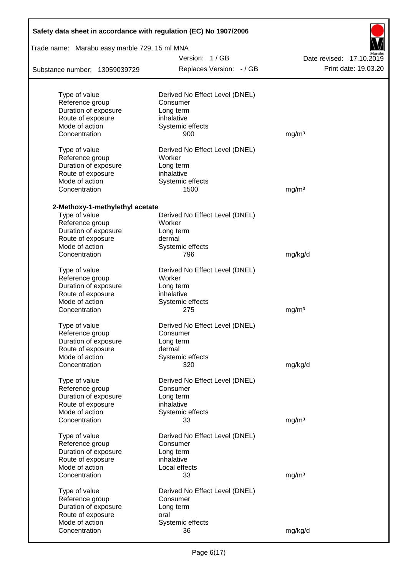| Safety data sheet in accordance with regulation (EC) No 1907/2006 |                                          |                                                  |  |  |  |  |
|-------------------------------------------------------------------|------------------------------------------|--------------------------------------------------|--|--|--|--|
| Trade name: Marabu easy marble 729, 15 ml MNA                     | Version: 1/GB                            |                                                  |  |  |  |  |
| Substance number: 13059039729                                     | Replaces Version: - / GB                 | Date revised: 17.10.2019<br>Print date: 19.03.20 |  |  |  |  |
|                                                                   |                                          |                                                  |  |  |  |  |
| Type of value                                                     | Derived No Effect Level (DNEL)           |                                                  |  |  |  |  |
| Reference group                                                   | Consumer                                 |                                                  |  |  |  |  |
| Duration of exposure                                              | Long term                                |                                                  |  |  |  |  |
| Route of exposure                                                 | inhalative                               |                                                  |  |  |  |  |
| Mode of action                                                    | Systemic effects                         |                                                  |  |  |  |  |
| Concentration                                                     | 900                                      | mg/m <sup>3</sup>                                |  |  |  |  |
| Type of value                                                     | Derived No Effect Level (DNEL)           |                                                  |  |  |  |  |
| Reference group                                                   | Worker                                   |                                                  |  |  |  |  |
| Duration of exposure                                              | Long term                                |                                                  |  |  |  |  |
| Route of exposure                                                 | inhalative                               |                                                  |  |  |  |  |
| Mode of action                                                    | Systemic effects                         |                                                  |  |  |  |  |
| Concentration                                                     | 1500                                     | mg/m <sup>3</sup>                                |  |  |  |  |
|                                                                   |                                          |                                                  |  |  |  |  |
| 2-Methoxy-1-methylethyl acetate<br>Type of value                  |                                          |                                                  |  |  |  |  |
|                                                                   | Derived No Effect Level (DNEL)<br>Worker |                                                  |  |  |  |  |
| Reference group                                                   |                                          |                                                  |  |  |  |  |
| Duration of exposure                                              | Long term                                |                                                  |  |  |  |  |
| Route of exposure                                                 | dermal                                   |                                                  |  |  |  |  |
| Mode of action                                                    | Systemic effects                         |                                                  |  |  |  |  |
| Concentration                                                     | 796                                      | mg/kg/d                                          |  |  |  |  |
| Type of value                                                     | Derived No Effect Level (DNEL)           |                                                  |  |  |  |  |
| Reference group                                                   | Worker                                   |                                                  |  |  |  |  |
| Duration of exposure                                              | Long term                                |                                                  |  |  |  |  |
| Route of exposure                                                 | inhalative                               |                                                  |  |  |  |  |
| Mode of action                                                    | Systemic effects                         |                                                  |  |  |  |  |
| Concentration                                                     | 275                                      | mg/m <sup>3</sup>                                |  |  |  |  |
| Type of value                                                     | Derived No Effect Level (DNEL)           |                                                  |  |  |  |  |
| Reference group                                                   | Consumer                                 |                                                  |  |  |  |  |
| Duration of exposure                                              | Long term                                |                                                  |  |  |  |  |
| Route of exposure                                                 | dermal                                   |                                                  |  |  |  |  |
| Mode of action                                                    | Systemic effects                         |                                                  |  |  |  |  |
| Concentration                                                     | 320                                      | mg/kg/d                                          |  |  |  |  |
|                                                                   | Derived No Effect Level (DNEL)           |                                                  |  |  |  |  |
| Type of value                                                     | Consumer                                 |                                                  |  |  |  |  |
| Reference group<br>Duration of exposure                           | Long term                                |                                                  |  |  |  |  |
| Route of exposure                                                 | inhalative                               |                                                  |  |  |  |  |
| Mode of action                                                    | Systemic effects                         |                                                  |  |  |  |  |
| Concentration                                                     | 33                                       | mg/m <sup>3</sup>                                |  |  |  |  |
|                                                                   |                                          |                                                  |  |  |  |  |
| Type of value                                                     | Derived No Effect Level (DNEL)           |                                                  |  |  |  |  |
| Reference group                                                   | Consumer                                 |                                                  |  |  |  |  |
| Duration of exposure                                              | Long term                                |                                                  |  |  |  |  |
| Route of exposure                                                 | inhalative                               |                                                  |  |  |  |  |
| Mode of action                                                    | Local effects                            |                                                  |  |  |  |  |
| Concentration                                                     | 33                                       | mg/m <sup>3</sup>                                |  |  |  |  |
| Type of value                                                     | Derived No Effect Level (DNEL)           |                                                  |  |  |  |  |
| Reference group                                                   | Consumer                                 |                                                  |  |  |  |  |
| Duration of exposure                                              | Long term                                |                                                  |  |  |  |  |
| Route of exposure                                                 | oral                                     |                                                  |  |  |  |  |
| Mode of action                                                    | Systemic effects                         |                                                  |  |  |  |  |
| Concentration                                                     | 36                                       | mg/kg/d                                          |  |  |  |  |
|                                                                   |                                          |                                                  |  |  |  |  |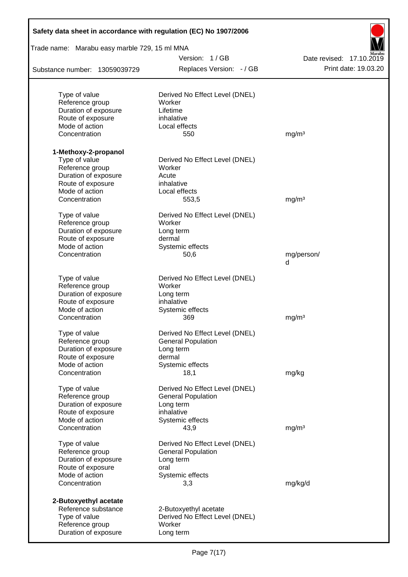| Safety data sheet in accordance with regulation (EC) No 1907/2006 |                                |                          |
|-------------------------------------------------------------------|--------------------------------|--------------------------|
| Trade name: Marabu easy marble 729, 15 ml MNA                     |                                |                          |
|                                                                   | Version: 1/GB                  | Date revised: 17.10.2019 |
| Substance number: 13059039729                                     | Replaces Version: - / GB       | Print date: 19.03.20     |
| Type of value                                                     | Derived No Effect Level (DNEL) |                          |
| Reference group                                                   | Worker                         |                          |
| Duration of exposure                                              | Lifetime                       |                          |
| Route of exposure                                                 | inhalative                     |                          |
| Mode of action                                                    | Local effects                  |                          |
| Concentration                                                     | 550                            | mg/m <sup>3</sup>        |
| 1-Methoxy-2-propanol                                              |                                |                          |
| Type of value                                                     | Derived No Effect Level (DNEL) |                          |
| Reference group                                                   | Worker                         |                          |
| Duration of exposure                                              | Acute                          |                          |
| Route of exposure                                                 | inhalative                     |                          |
| Mode of action                                                    | Local effects                  |                          |
| Concentration                                                     | 553,5                          | mg/m <sup>3</sup>        |
| Type of value                                                     | Derived No Effect Level (DNEL) |                          |
| Reference group                                                   | Worker                         |                          |
| Duration of exposure                                              | Long term                      |                          |
| Route of exposure                                                 | dermal                         |                          |
| Mode of action                                                    | Systemic effects               |                          |
| Concentration                                                     | 50,6                           | mg/person/<br>d          |
| Type of value                                                     | Derived No Effect Level (DNEL) |                          |
| Reference group                                                   | Worker                         |                          |
| Duration of exposure                                              | Long term                      |                          |
| Route of exposure                                                 | inhalative                     |                          |
| Mode of action                                                    | Systemic effects               |                          |
| Concentration                                                     | 369                            | mg/m <sup>3</sup>        |
| Type of value                                                     | Derived No Effect Level (DNEL) |                          |
| Reference group                                                   | <b>General Population</b>      |                          |
| Duration of exposure                                              | Long term                      |                          |
| Route of exposure                                                 | dermal                         |                          |
| Mode of action                                                    | Systemic effects               |                          |
| Concentration                                                     | 18,1                           | mg/kg                    |
| Type of value                                                     | Derived No Effect Level (DNEL) |                          |
| Reference group                                                   | <b>General Population</b>      |                          |
| Duration of exposure                                              | Long term                      |                          |
| Route of exposure                                                 | inhalative                     |                          |
| Mode of action<br>Concentration                                   | Systemic effects<br>43,9       | mg/m <sup>3</sup>        |
| Type of value                                                     | Derived No Effect Level (DNEL) |                          |
| Reference group                                                   | <b>General Population</b>      |                          |
| Duration of exposure                                              | Long term                      |                          |
| Route of exposure                                                 | oral                           |                          |
| Mode of action                                                    | Systemic effects               |                          |
| Concentration                                                     | 3,3                            | mg/kg/d                  |
| 2-Butoxyethyl acetate                                             |                                |                          |
| Reference substance                                               | 2-Butoxyethyl acetate          |                          |
| Type of value                                                     | Derived No Effect Level (DNEL) |                          |
| Reference group                                                   | Worker                         |                          |
| Duration of exposure                                              | Long term                      |                          |
|                                                                   |                                |                          |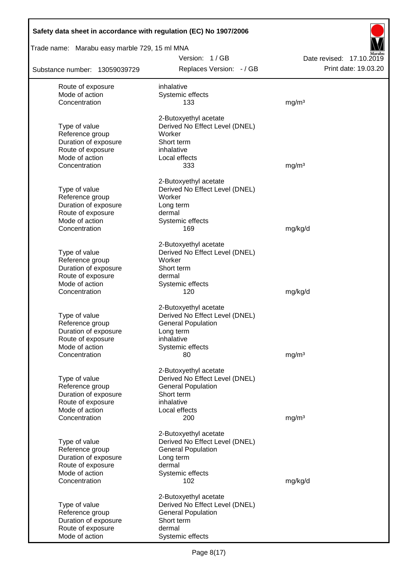| Trade name: Marabu easy marble 729, 15 ml MNA |                                |                          |  |  |  |  |
|-----------------------------------------------|--------------------------------|--------------------------|--|--|--|--|
|                                               | Version: 1/GB                  | Date revised: 17.10.2019 |  |  |  |  |
| Substance number: 13059039729                 | Replaces Version: - / GB       | Print date: 19.03.20     |  |  |  |  |
| Route of exposure                             | inhalative                     |                          |  |  |  |  |
| Mode of action                                | Systemic effects               |                          |  |  |  |  |
| Concentration                                 | 133                            | mg/m <sup>3</sup>        |  |  |  |  |
|                                               | 2-Butoxyethyl acetate          |                          |  |  |  |  |
| Type of value                                 | Derived No Effect Level (DNEL) |                          |  |  |  |  |
| Reference group                               | Worker                         |                          |  |  |  |  |
| Duration of exposure                          | Short term                     |                          |  |  |  |  |
| Route of exposure<br>Mode of action           | inhalative<br>Local effects    |                          |  |  |  |  |
| Concentration                                 | 333                            | mg/m <sup>3</sup>        |  |  |  |  |
|                                               |                                |                          |  |  |  |  |
|                                               | 2-Butoxyethyl acetate          |                          |  |  |  |  |
| Type of value                                 | Derived No Effect Level (DNEL) |                          |  |  |  |  |
| Reference group                               | Worker                         |                          |  |  |  |  |
| Duration of exposure<br>Route of exposure     | Long term                      |                          |  |  |  |  |
| Mode of action                                | dermal<br>Systemic effects     |                          |  |  |  |  |
| Concentration                                 | 169                            | mg/kg/d                  |  |  |  |  |
|                                               |                                |                          |  |  |  |  |
|                                               | 2-Butoxyethyl acetate          |                          |  |  |  |  |
| Type of value                                 | Derived No Effect Level (DNEL) |                          |  |  |  |  |
| Reference group                               | Worker                         |                          |  |  |  |  |
| Duration of exposure                          | Short term                     |                          |  |  |  |  |
| Route of exposure                             | dermal                         |                          |  |  |  |  |
| Mode of action                                | Systemic effects               |                          |  |  |  |  |
| Concentration                                 | 120                            | mg/kg/d                  |  |  |  |  |
|                                               | 2-Butoxyethyl acetate          |                          |  |  |  |  |
| Type of value                                 | Derived No Effect Level (DNEL) |                          |  |  |  |  |
| Reference group                               | <b>General Population</b>      |                          |  |  |  |  |
| Duration of exposure                          | Long term                      |                          |  |  |  |  |
| Route of exposure                             | inhalative                     |                          |  |  |  |  |
| Mode of action<br>Concentration               | Systemic effects               |                          |  |  |  |  |
|                                               | 80                             | mg/m <sup>3</sup>        |  |  |  |  |
|                                               | 2-Butoxyethyl acetate          |                          |  |  |  |  |
| Type of value                                 | Derived No Effect Level (DNEL) |                          |  |  |  |  |
| Reference group                               | <b>General Population</b>      |                          |  |  |  |  |
| Duration of exposure                          | Short term                     |                          |  |  |  |  |
| Route of exposure                             | inhalative                     |                          |  |  |  |  |
| Mode of action                                | Local effects                  |                          |  |  |  |  |
| Concentration                                 | 200                            | mg/m <sup>3</sup>        |  |  |  |  |
|                                               | 2-Butoxyethyl acetate          |                          |  |  |  |  |
| Type of value                                 | Derived No Effect Level (DNEL) |                          |  |  |  |  |
| Reference group                               | <b>General Population</b>      |                          |  |  |  |  |
| Duration of exposure                          | Long term                      |                          |  |  |  |  |
| Route of exposure                             | dermal                         |                          |  |  |  |  |
| Mode of action                                | Systemic effects               |                          |  |  |  |  |
| Concentration                                 | 102                            | mg/kg/d                  |  |  |  |  |
|                                               | 2-Butoxyethyl acetate          |                          |  |  |  |  |
| Type of value                                 | Derived No Effect Level (DNEL) |                          |  |  |  |  |
| Reference group                               | <b>General Population</b>      |                          |  |  |  |  |
| Duration of exposure                          | Short term                     |                          |  |  |  |  |
| Route of exposure<br>Mode of action           | dermal                         |                          |  |  |  |  |
|                                               | Systemic effects               |                          |  |  |  |  |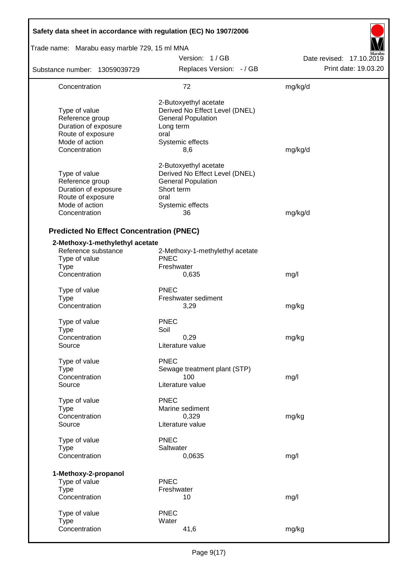| Safety data sheet in accordance with regulation (EC) No 1907/2006                                                |                                                                                                                                      |                          |  |  |  |  |
|------------------------------------------------------------------------------------------------------------------|--------------------------------------------------------------------------------------------------------------------------------------|--------------------------|--|--|--|--|
| Trade name: Marabu easy marble 729, 15 ml MNA                                                                    |                                                                                                                                      |                          |  |  |  |  |
|                                                                                                                  | Version: 1/GB                                                                                                                        | Date revised: 17.10.2019 |  |  |  |  |
| Substance number: 13059039729                                                                                    | Replaces Version: - / GB                                                                                                             | Print date: 19.03.20     |  |  |  |  |
| Concentration                                                                                                    | 72                                                                                                                                   | mg/kg/d                  |  |  |  |  |
| Type of value<br>Reference group<br>Duration of exposure<br>Route of exposure<br>Mode of action<br>Concentration | 2-Butoxyethyl acetate<br>Derived No Effect Level (DNEL)<br><b>General Population</b><br>Long term<br>oral<br>Systemic effects<br>8,6 | mg/kg/d                  |  |  |  |  |
| Type of value<br>Reference group<br>Duration of exposure<br>Route of exposure<br>Mode of action<br>Concentration | 2-Butoxyethyl acetate<br>Derived No Effect Level (DNEL)<br><b>General Population</b><br>Short term<br>oral<br>Systemic effects<br>36 | mg/kg/d                  |  |  |  |  |
| <b>Predicted No Effect Concentration (PNEC)</b>                                                                  |                                                                                                                                      |                          |  |  |  |  |
| 2-Methoxy-1-methylethyl acetate<br>Reference substance<br>Type of value<br><b>Type</b><br>Concentration          | 2-Methoxy-1-methylethyl acetate<br><b>PNEC</b><br>Freshwater<br>0,635                                                                |                          |  |  |  |  |
|                                                                                                                  |                                                                                                                                      | mg/l                     |  |  |  |  |
| Type of value<br><b>Type</b><br>Concentration                                                                    | <b>PNEC</b><br>Freshwater sediment<br>3,29                                                                                           | mg/kg                    |  |  |  |  |
| Type of value<br><b>Type</b><br>Concentration<br>Source                                                          | <b>PNEC</b><br>Soil<br>0,29<br>Literature value                                                                                      | mg/kg                    |  |  |  |  |
| Type of value<br><b>Type</b><br>Concentration<br>Source                                                          | <b>PNEC</b><br>Sewage treatment plant (STP)<br>100<br>Literature value                                                               | mg/l                     |  |  |  |  |
| Type of value<br><b>Type</b><br>Concentration<br>Source                                                          | <b>PNEC</b><br>Marine sediment<br>0,329<br>Literature value                                                                          | mg/kg                    |  |  |  |  |
| Type of value<br><b>Type</b><br>Concentration                                                                    | <b>PNEC</b><br>Saltwater<br>0,0635                                                                                                   | mg/l                     |  |  |  |  |
| 1-Methoxy-2-propanol<br>Type of value<br><b>Type</b><br>Concentration                                            | <b>PNEC</b><br>Freshwater<br>10                                                                                                      | mg/l                     |  |  |  |  |
| Type of value<br><b>Type</b><br>Concentration                                                                    | <b>PNEC</b><br>Water<br>41,6                                                                                                         | mg/kg                    |  |  |  |  |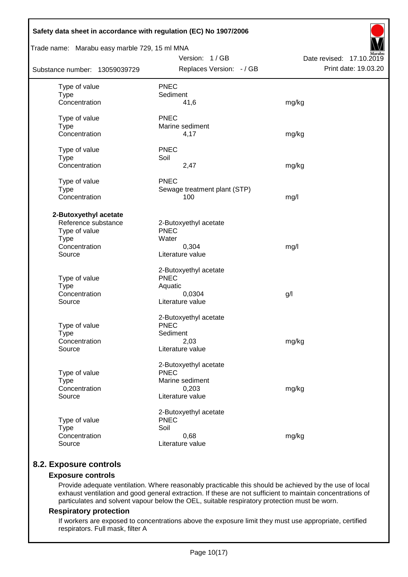| Safety data sheet in accordance with regulation (EC) No 1907/2006                                       |                                                                                      |                                                  |
|---------------------------------------------------------------------------------------------------------|--------------------------------------------------------------------------------------|--------------------------------------------------|
| Trade name: Marabu easy marble 729, 15 ml MNA                                                           |                                                                                      |                                                  |
| Substance number: 13059039729                                                                           | Version: 1/GB<br>Replaces Version: - / GB                                            | Date revised: 17.10.2019<br>Print date: 19.03.20 |
| Type of value<br><b>Type</b><br>Concentration                                                           | <b>PNEC</b><br>Sediment<br>41,6                                                      | mg/kg                                            |
| Type of value<br><b>Type</b><br>Concentration                                                           | <b>PNEC</b><br>Marine sediment<br>4,17                                               | mg/kg                                            |
| Type of value<br><b>Type</b><br>Concentration                                                           | <b>PNEC</b><br>Soil<br>2,47                                                          | mg/kg                                            |
| Type of value<br><b>Type</b><br>Concentration                                                           | <b>PNEC</b><br>Sewage treatment plant (STP)<br>100                                   | mg/l                                             |
| 2-Butoxyethyl acetate<br>Reference substance<br>Type of value<br><b>Type</b><br>Concentration<br>Source | 2-Butoxyethyl acetate<br><b>PNEC</b><br>Water<br>0,304<br>Literature value           | mg/l                                             |
| Type of value<br>Type<br>Concentration<br>Source                                                        | 2-Butoxyethyl acetate<br><b>PNEC</b><br>Aquatic<br>0,0304<br>Literature value        | g/                                               |
| Type of value<br><b>Type</b><br>Concentration<br>Source                                                 | 2-Butoxyethyl acetate<br><b>PNEC</b><br>Sediment<br>2,03<br>Literature value         | mg/kg                                            |
| Type of value<br><b>Type</b><br>Concentration<br>Source                                                 | 2-Butoxyethyl acetate<br><b>PNEC</b><br>Marine sediment<br>0,203<br>Literature value | mg/kg                                            |
| Type of value<br><b>Type</b><br>Concentration<br>Source                                                 | 2-Butoxyethyl acetate<br><b>PNEC</b><br>Soil<br>0,68<br>Literature value             | mg/kg                                            |

# **8.2. Exposure controls**

### **Exposure controls**

Provide adequate ventilation. Where reasonably practicable this should be achieved by the use of local exhaust ventilation and good general extraction. If these are not sufficient to maintain concentrations of particulates and solvent vapour below the OEL, suitable respiratory protection must be worn.

#### **Respiratory protection**

If workers are exposed to concentrations above the exposure limit they must use appropriate, certified respirators. Full mask, filter A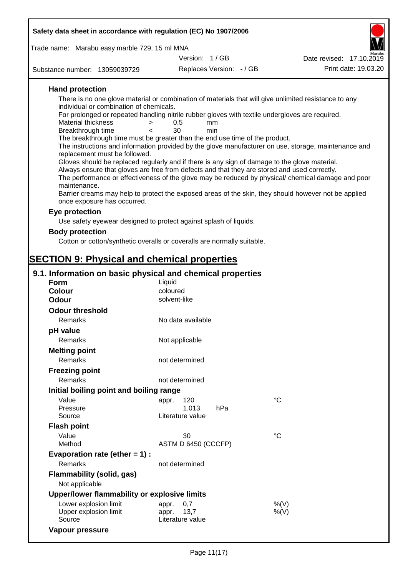| Safety data sheet in accordance with regulation (EC) No 1907/2006                                                                          |                          |                          |                                                                                                      |  |  |  |
|--------------------------------------------------------------------------------------------------------------------------------------------|--------------------------|--------------------------|------------------------------------------------------------------------------------------------------|--|--|--|
| Trade name: Marabu easy marble 729, 15 ml MNA                                                                                              |                          |                          |                                                                                                      |  |  |  |
|                                                                                                                                            | Version: 1/GB            |                          | Date revised: 17.10.2019                                                                             |  |  |  |
| Substance number: 13059039729                                                                                                              |                          | Replaces Version: - / GB | Print date: 19.03.20                                                                                 |  |  |  |
| <b>Hand protection</b>                                                                                                                     |                          |                          |                                                                                                      |  |  |  |
| There is no one glove material or combination of materials that will give unlimited resistance to any                                      |                          |                          |                                                                                                      |  |  |  |
| individual or combination of chemicals.<br>For prolonged or repeated handling nitrile rubber gloves with textile undergloves are required. |                          |                          |                                                                                                      |  |  |  |
| <b>Material thickness</b><br>$\geq$                                                                                                        | 0,5<br>mm                |                          |                                                                                                      |  |  |  |
| Breakthrough time<br>$\lt$                                                                                                                 | 30<br>min                |                          |                                                                                                      |  |  |  |
| The breakthrough time must be greater than the end use time of the product.                                                                |                          |                          | The instructions and information provided by the glove manufacturer on use, storage, maintenance and |  |  |  |
| replacement must be followed.                                                                                                              |                          |                          |                                                                                                      |  |  |  |
| Gloves should be replaced regularly and if there is any sign of damage to the glove material.                                              |                          |                          |                                                                                                      |  |  |  |
| Always ensure that gloves are free from defects and that they are stored and used correctly.                                               |                          |                          | The performance or effectiveness of the glove may be reduced by physical/ chemical damage and poor   |  |  |  |
| maintenance.                                                                                                                               |                          |                          |                                                                                                      |  |  |  |
| once exposure has occurred.                                                                                                                |                          |                          | Barrier creams may help to protect the exposed areas of the skin, they should however not be applied |  |  |  |
| Eye protection                                                                                                                             |                          |                          |                                                                                                      |  |  |  |
| Use safety eyewear designed to protect against splash of liquids.                                                                          |                          |                          |                                                                                                      |  |  |  |
| <b>Body protection</b>                                                                                                                     |                          |                          |                                                                                                      |  |  |  |
| Cotton or cotton/synthetic overalls or coveralls are normally suitable.                                                                    |                          |                          |                                                                                                      |  |  |  |
|                                                                                                                                            |                          |                          |                                                                                                      |  |  |  |
| <b>SECTION 9: Physical and chemical properties</b>                                                                                         |                          |                          |                                                                                                      |  |  |  |
| 9.1. Information on basic physical and chemical properties                                                                                 |                          |                          |                                                                                                      |  |  |  |
| <b>Form</b>                                                                                                                                | Liquid                   |                          |                                                                                                      |  |  |  |
| <b>Colour</b><br><b>Odour</b>                                                                                                              | coloured<br>solvent-like |                          |                                                                                                      |  |  |  |
|                                                                                                                                            |                          |                          |                                                                                                      |  |  |  |
| <b>Odour threshold</b>                                                                                                                     |                          |                          |                                                                                                      |  |  |  |
| Remarks                                                                                                                                    | No data available        |                          |                                                                                                      |  |  |  |
| pH value                                                                                                                                   |                          |                          |                                                                                                      |  |  |  |
| Remarks                                                                                                                                    | Not applicable           |                          |                                                                                                      |  |  |  |
| <b>Melting point</b>                                                                                                                       |                          |                          |                                                                                                      |  |  |  |
| Remarks                                                                                                                                    | not determined           |                          |                                                                                                      |  |  |  |
| <b>Freezing point</b>                                                                                                                      |                          |                          |                                                                                                      |  |  |  |
| Remarks                                                                                                                                    | not determined           |                          |                                                                                                      |  |  |  |
| Initial boiling point and boiling range                                                                                                    |                          |                          | $\rm ^{\circ}C$                                                                                      |  |  |  |
| Value<br>Pressure                                                                                                                          | 120<br>appr.<br>1.013    | hPa                      |                                                                                                      |  |  |  |
| Source                                                                                                                                     | Literature value         |                          |                                                                                                      |  |  |  |
| <b>Flash point</b>                                                                                                                         |                          |                          |                                                                                                      |  |  |  |
| Value                                                                                                                                      | 30                       |                          | $^{\circ}C$                                                                                          |  |  |  |
| Method                                                                                                                                     | ASTM D 6450 (CCCFP)      |                          |                                                                                                      |  |  |  |
| Evaporation rate (ether $= 1$ ) :                                                                                                          |                          |                          |                                                                                                      |  |  |  |
| Remarks                                                                                                                                    | not determined           |                          |                                                                                                      |  |  |  |
| <b>Flammability (solid, gas)</b><br>Not applicable                                                                                         |                          |                          |                                                                                                      |  |  |  |
| Upper/lower flammability or explosive limits                                                                                               |                          |                          |                                                                                                      |  |  |  |
|                                                                                                                                            |                          |                          | 0/11                                                                                                 |  |  |  |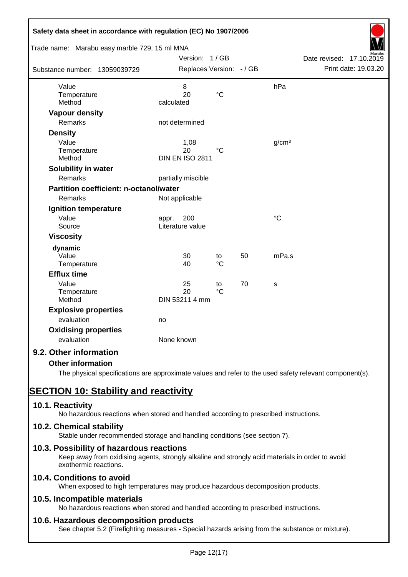| Safety data sheet in accordance with regulation (EC) No 1907/2006<br>Trade name: Marabu easy marble 729, 15 ml MNA |                                      |                       |    |                   |                          |
|--------------------------------------------------------------------------------------------------------------------|--------------------------------------|-----------------------|----|-------------------|--------------------------|
|                                                                                                                    | Version: 1/GB                        |                       |    |                   | Date revised: 17.10.2019 |
| Substance number: 13059039729                                                                                      | Replaces Version: - / GB             |                       |    |                   | Print date: 19.03.20     |
| Value<br>Temperature<br>Method                                                                                     | 8<br>20<br>calculated                | $\rm ^{\circ}C$       |    | hPa               |                          |
| <b>Vapour density</b>                                                                                              |                                      |                       |    |                   |                          |
| Remarks                                                                                                            | not determined                       |                       |    |                   |                          |
| <b>Density</b>                                                                                                     |                                      |                       |    |                   |                          |
| Value<br>Temperature<br>Method                                                                                     | 1,08<br>20<br><b>DIN EN ISO 2811</b> | $^{\circ}C$           |    | g/cm <sup>3</sup> |                          |
| Solubility in water                                                                                                |                                      |                       |    |                   |                          |
| Remarks                                                                                                            | partially miscible                   |                       |    |                   |                          |
| <b>Partition coefficient: n-octanol/water</b>                                                                      |                                      |                       |    |                   |                          |
| Remarks                                                                                                            | Not applicable                       |                       |    |                   |                          |
| Ignition temperature                                                                                               |                                      |                       |    |                   |                          |
| Value<br>Source                                                                                                    | 200<br>appr.<br>Literature value     |                       |    | $\rm ^{\circ}C$   |                          |
| <b>Viscosity</b>                                                                                                   |                                      |                       |    |                   |                          |
| dynamic<br>Value<br>Temperature                                                                                    | 30<br>40                             | to<br>$^{\circ}C$     | 50 | mPa.s             |                          |
| <b>Efflux time</b>                                                                                                 |                                      |                       |    |                   |                          |
| Value<br>Temperature<br>Method                                                                                     | 25<br>20<br>DIN 53211 4 mm           | to<br>$\rm ^{\circ}C$ | 70 | s                 |                          |
| <b>Explosive properties</b>                                                                                        |                                      |                       |    |                   |                          |
| evaluation                                                                                                         | no                                   |                       |    |                   |                          |
| <b>Oxidising properties</b><br>evaluation                                                                          | None known                           |                       |    |                   |                          |
| 9.2. Other information                                                                                             |                                      |                       |    |                   |                          |
| <b>Other information</b>                                                                                           |                                      |                       |    |                   |                          |

The physical specifications are approximate values and refer to the used safety relevant component(s).

# **SECTION 10: Stability and reactivity**

# **10.1. Reactivity**

No hazardous reactions when stored and handled according to prescribed instructions.

# **10.2. Chemical stability**

Stable under recommended storage and handling conditions (see section 7).

# **10.3. Possibility of hazardous reactions**

Keep away from oxidising agents, strongly alkaline and strongly acid materials in order to avoid exothermic reactions.

# **10.4. Conditions to avoid**

When exposed to high temperatures may produce hazardous decomposition products.

# **10.5. Incompatible materials**

No hazardous reactions when stored and handled according to prescribed instructions.

# **10.6. Hazardous decomposition products**

See chapter 5.2 (Firefighting measures - Special hazards arising from the substance or mixture).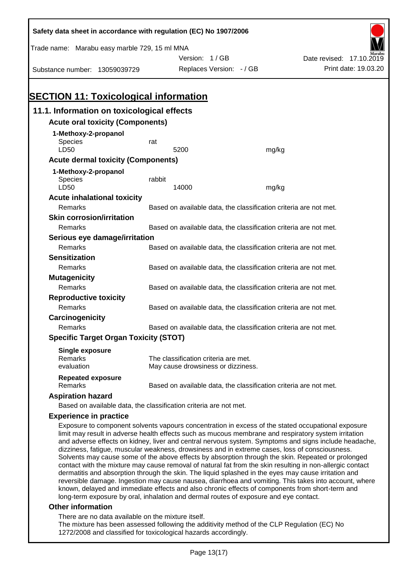| Safety data sheet in accordance with regulation (EC) No 1907/2006 |                                                                   |                                      |       |                                                                                                                                                                                                            |  |  |
|-------------------------------------------------------------------|-------------------------------------------------------------------|--------------------------------------|-------|------------------------------------------------------------------------------------------------------------------------------------------------------------------------------------------------------------|--|--|
| Trade name: Marabu easy marble 729, 15 ml MNA                     |                                                                   |                                      |       |                                                                                                                                                                                                            |  |  |
|                                                                   |                                                                   | Version: 1/GB                        |       | Date revised: 17.10.2019                                                                                                                                                                                   |  |  |
| Substance number: 13059039729                                     |                                                                   | Replaces Version: - / GB             |       | Print date: 19.03.20                                                                                                                                                                                       |  |  |
|                                                                   |                                                                   |                                      |       |                                                                                                                                                                                                            |  |  |
|                                                                   |                                                                   |                                      |       |                                                                                                                                                                                                            |  |  |
| <b>SECTION 11: Toxicological information</b>                      |                                                                   |                                      |       |                                                                                                                                                                                                            |  |  |
| 11.1. Information on toxicological effects                        |                                                                   |                                      |       |                                                                                                                                                                                                            |  |  |
| <b>Acute oral toxicity (Components)</b>                           |                                                                   |                                      |       |                                                                                                                                                                                                            |  |  |
| 1-Methoxy-2-propanol                                              |                                                                   |                                      |       |                                                                                                                                                                                                            |  |  |
| <b>Species</b>                                                    | rat                                                               |                                      |       |                                                                                                                                                                                                            |  |  |
| LD50                                                              |                                                                   | 5200                                 | mg/kg |                                                                                                                                                                                                            |  |  |
| <b>Acute dermal toxicity (Components)</b>                         |                                                                   |                                      |       |                                                                                                                                                                                                            |  |  |
| 1-Methoxy-2-propanol                                              |                                                                   |                                      |       |                                                                                                                                                                                                            |  |  |
| <b>Species</b><br>LD50                                            | rabbit                                                            | 14000                                | mg/kg |                                                                                                                                                                                                            |  |  |
| <b>Acute inhalational toxicity</b>                                |                                                                   |                                      |       |                                                                                                                                                                                                            |  |  |
| Remarks                                                           |                                                                   |                                      |       | Based on available data, the classification criteria are not met.                                                                                                                                          |  |  |
| <b>Skin corrosion/irritation</b>                                  |                                                                   |                                      |       |                                                                                                                                                                                                            |  |  |
| Remarks                                                           |                                                                   |                                      |       | Based on available data, the classification criteria are not met.                                                                                                                                          |  |  |
| Serious eye damage/irritation                                     |                                                                   |                                      |       |                                                                                                                                                                                                            |  |  |
| Remarks                                                           | Based on available data, the classification criteria are not met. |                                      |       |                                                                                                                                                                                                            |  |  |
| <b>Sensitization</b>                                              |                                                                   |                                      |       |                                                                                                                                                                                                            |  |  |
| Remarks                                                           |                                                                   |                                      |       | Based on available data, the classification criteria are not met.                                                                                                                                          |  |  |
| <b>Mutagenicity</b>                                               |                                                                   |                                      |       |                                                                                                                                                                                                            |  |  |
| Remarks                                                           |                                                                   |                                      |       | Based on available data, the classification criteria are not met.                                                                                                                                          |  |  |
| <b>Reproductive toxicity</b>                                      |                                                                   |                                      |       |                                                                                                                                                                                                            |  |  |
| Remarks                                                           |                                                                   |                                      |       | Based on available data, the classification criteria are not met.                                                                                                                                          |  |  |
| Carcinogenicity                                                   |                                                                   |                                      |       |                                                                                                                                                                                                            |  |  |
| Remarks                                                           |                                                                   |                                      |       | Based on available data, the classification criteria are not met.                                                                                                                                          |  |  |
| <b>Specific Target Organ Toxicity (STOT)</b>                      |                                                                   |                                      |       |                                                                                                                                                                                                            |  |  |
| <b>Single exposure</b>                                            |                                                                   |                                      |       |                                                                                                                                                                                                            |  |  |
| Remarks                                                           |                                                                   | The classification criteria are met. |       |                                                                                                                                                                                                            |  |  |
| evaluation                                                        |                                                                   | May cause drowsiness or dizziness.   |       |                                                                                                                                                                                                            |  |  |
| <b>Repeated exposure</b><br>Remarks                               |                                                                   |                                      |       | Based on available data, the classification criteria are not met.                                                                                                                                          |  |  |
| <b>Aspiration hazard</b>                                          |                                                                   |                                      |       |                                                                                                                                                                                                            |  |  |
| Based on available data, the classification criteria are not met. |                                                                   |                                      |       |                                                                                                                                                                                                            |  |  |
| <b>Experience in practice</b>                                     |                                                                   |                                      |       |                                                                                                                                                                                                            |  |  |
|                                                                   |                                                                   |                                      |       | Exposure to component solvents vapours concentration in excess of the stated occupational exposure<br>limit may result in adverse health effects such as mucous membrane and respiratory system irritation |  |  |

and adverse effects on kidney, liver and central nervous system. Symptoms and signs include headache, dizziness, fatigue, muscular weakness, drowsiness and in extreme cases, loss of consciousness. Solvents may cause some of the above effects by absorption through the skin. Repeated or prolonged contact with the mixture may cause removal of natural fat from the skin resulting in non-allergic contact dermatitis and absorption through the skin. The liquid splashed in the eyes may cause irritation and reversible damage. Ingestion may cause nausea, diarrhoea and vomiting. This takes into account, where known, delayed and immediate effects and also chronic effects of components from short-term and long-term exposure by oral, inhalation and dermal routes of exposure and eye contact.

#### **Other information**

There are no data available on the mixture itself.

The mixture has been assessed following the additivity method of the CLP Regulation (EC) No 1272/2008 and classified for toxicological hazards accordingly.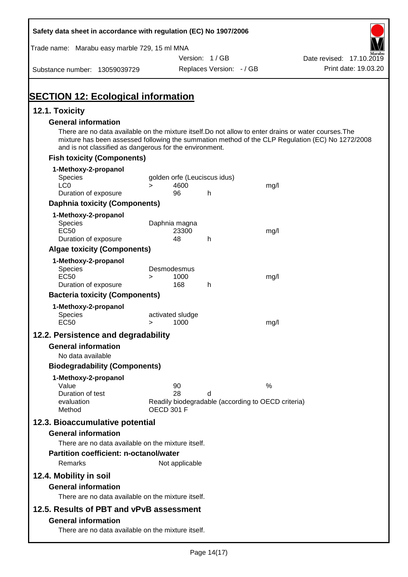| Safety data sheet in accordance with regulation (EC) No 1907/2006                                                                                                |                   |                  |                              |                                                    |                                                                                                  |
|------------------------------------------------------------------------------------------------------------------------------------------------------------------|-------------------|------------------|------------------------------|----------------------------------------------------|--------------------------------------------------------------------------------------------------|
| Trade name: Marabu easy marble 729, 15 ml MNA                                                                                                                    |                   |                  |                              |                                                    |                                                                                                  |
|                                                                                                                                                                  |                   |                  | Version: 1/GB                |                                                    | Date revised: 17.10.2019                                                                         |
| Substance number: 13059039729                                                                                                                                    |                   |                  | Replaces Version: - / GB     |                                                    | Print date: 19.03.20                                                                             |
| <b>SECTION 12: Ecological information</b>                                                                                                                        |                   |                  |                              |                                                    |                                                                                                  |
| 12.1. Toxicity                                                                                                                                                   |                   |                  |                              |                                                    |                                                                                                  |
| <b>General information</b>                                                                                                                                       |                   |                  |                              |                                                    |                                                                                                  |
| There are no data available on the mixture itself. Do not allow to enter drains or water courses. The<br>and is not classified as dangerous for the environment. |                   |                  |                              |                                                    | mixture has been assessed following the summation method of the CLP Regulation (EC) No 1272/2008 |
| <b>Fish toxicity (Components)</b>                                                                                                                                |                   |                  |                              |                                                    |                                                                                                  |
| 1-Methoxy-2-propanol                                                                                                                                             |                   |                  |                              |                                                    |                                                                                                  |
| Species<br>LC <sub>0</sub>                                                                                                                                       | $\geq$            | 4600             | golden orfe (Leuciscus idus) | mg/l                                               |                                                                                                  |
| Duration of exposure                                                                                                                                             |                   | 96               | h                            |                                                    |                                                                                                  |
| <b>Daphnia toxicity (Components)</b>                                                                                                                             |                   |                  |                              |                                                    |                                                                                                  |
| 1-Methoxy-2-propanol                                                                                                                                             |                   |                  |                              |                                                    |                                                                                                  |
| <b>Species</b>                                                                                                                                                   |                   | Daphnia magna    |                              |                                                    |                                                                                                  |
| <b>EC50</b><br>Duration of exposure                                                                                                                              |                   | 23300<br>48      | h                            | mg/l                                               |                                                                                                  |
| <b>Algae toxicity (Components)</b>                                                                                                                               |                   |                  |                              |                                                    |                                                                                                  |
| 1-Methoxy-2-propanol                                                                                                                                             |                   |                  |                              |                                                    |                                                                                                  |
| Species                                                                                                                                                          |                   | Desmodesmus      |                              |                                                    |                                                                                                  |
| <b>EC50</b><br>Duration of exposure                                                                                                                              | $\geq$            | 1000<br>168      | h                            | mg/l                                               |                                                                                                  |
| <b>Bacteria toxicity (Components)</b>                                                                                                                            |                   |                  |                              |                                                    |                                                                                                  |
| 1-Methoxy-2-propanol                                                                                                                                             |                   |                  |                              |                                                    |                                                                                                  |
| Species                                                                                                                                                          |                   | activated sludge |                              |                                                    |                                                                                                  |
| <b>EC50</b>                                                                                                                                                      | $\geq$            | 1000             |                              | mg/l                                               |                                                                                                  |
| 12.2. Persistence and degradability                                                                                                                              |                   |                  |                              |                                                    |                                                                                                  |
| <b>General information</b>                                                                                                                                       |                   |                  |                              |                                                    |                                                                                                  |
| No data available                                                                                                                                                |                   |                  |                              |                                                    |                                                                                                  |
| <b>Biodegradability (Components)</b>                                                                                                                             |                   |                  |                              |                                                    |                                                                                                  |
| 1-Methoxy-2-propanol<br>Value                                                                                                                                    |                   | 90               |                              | %                                                  |                                                                                                  |
| Duration of test                                                                                                                                                 |                   | 28               | d                            |                                                    |                                                                                                  |
| evaluation                                                                                                                                                       | <b>OECD 301 F</b> |                  |                              | Readily biodegradable (according to OECD criteria) |                                                                                                  |
| Method                                                                                                                                                           |                   |                  |                              |                                                    |                                                                                                  |
| 12.3. Bioaccumulative potential<br><b>General information</b>                                                                                                    |                   |                  |                              |                                                    |                                                                                                  |
| There are no data available on the mixture itself.                                                                                                               |                   |                  |                              |                                                    |                                                                                                  |
| <b>Partition coefficient: n-octanol/water</b>                                                                                                                    |                   |                  |                              |                                                    |                                                                                                  |
| Remarks                                                                                                                                                          |                   | Not applicable   |                              |                                                    |                                                                                                  |
| 12.4. Mobility in soil                                                                                                                                           |                   |                  |                              |                                                    |                                                                                                  |
| <b>General information</b>                                                                                                                                       |                   |                  |                              |                                                    |                                                                                                  |
| There are no data available on the mixture itself.                                                                                                               |                   |                  |                              |                                                    |                                                                                                  |
| 12.5. Results of PBT and vPvB assessment                                                                                                                         |                   |                  |                              |                                                    |                                                                                                  |
| <b>General information</b>                                                                                                                                       |                   |                  |                              |                                                    |                                                                                                  |
| There are no data available on the mixture itself.                                                                                                               |                   |                  |                              |                                                    |                                                                                                  |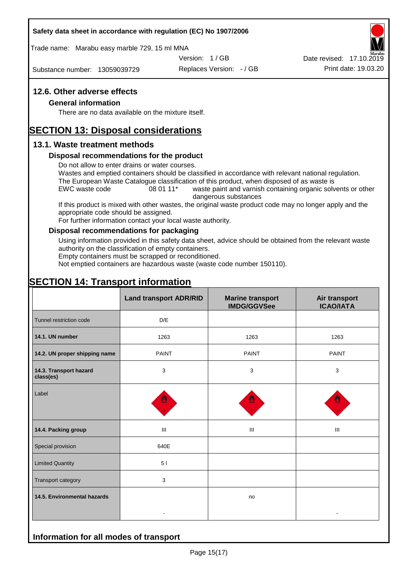#### **Safety data sheet in accordance with regulation (EC) No 1907/2006**

Trade name: Marabu easy marble 729, 15 ml MNA

Version: 1 / GB

Substance number: 13059039729

Replaces Version: - / GB Print date: 19.03.20 Date revised: 17.10.2019

#### **12.6. Other adverse effects**

#### **General information**

There are no data available on the mixture itself.

# **SECTION 13: Disposal considerations**

#### **13.1. Waste treatment methods**

#### **Disposal recommendations for the product**

Do not allow to enter drains or water courses.

Wastes and emptied containers should be classified in accordance with relevant national regulation. The European Waste Catalogue classification of this product, when disposed of as waste is

EWC waste code 08 01 11<sup>\*</sup> waste paint and varnish containing organic solvents or other dangerous substances

If this product is mixed with other wastes, the original waste product code may no longer apply and the appropriate code should be assigned.

For further information contact your local waste authority.

#### **Disposal recommendations for packaging**

Using information provided in this safety data sheet, advice should be obtained from the relevant waste authority on the classification of empty containers.

Empty containers must be scrapped or reconditioned.

Not emptied containers are hazardous waste (waste code number 150110).

# **SECTION 14: Transport information**

**Information for all modes of transport**

|                                     | <b>Land transport ADR/RID</b> | <b>Marine transport</b><br><b>IMDG/GGVSee</b> | Air transport<br><b>ICAO/IATA</b> |  |
|-------------------------------------|-------------------------------|-----------------------------------------------|-----------------------------------|--|
| Tunnel restriction code             | D/E                           |                                               |                                   |  |
| 14.1. UN number                     | 1263                          | 1263                                          | 1263                              |  |
| 14.2. UN proper shipping name       | <b>PAINT</b>                  | <b>PAINT</b>                                  | <b>PAINT</b>                      |  |
| 14.3. Transport hazard<br>class(es) | 3                             | 3                                             | 3                                 |  |
| Label                               |                               |                                               |                                   |  |
| 14.4. Packing group                 | Ш                             | III                                           | $\mathbf{III}$                    |  |
| Special provision                   | 640E                          |                                               |                                   |  |
| <b>Limited Quantity</b>             | 51                            |                                               |                                   |  |
| Transport category                  | 3                             |                                               |                                   |  |
| 14.5. Environmental hazards         |                               | no                                            |                                   |  |
|                                     |                               |                                               |                                   |  |

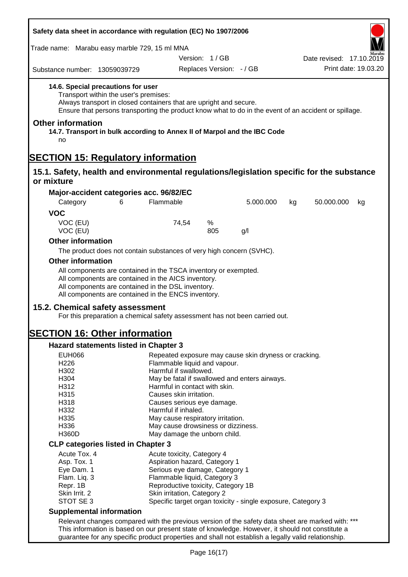| Safety data sheet in accordance with regulation (EC) No 1907/2006                                          |                                                                                                                                                                                                                                     |                                                                    |                          |           |    |                          |                      |
|------------------------------------------------------------------------------------------------------------|-------------------------------------------------------------------------------------------------------------------------------------------------------------------------------------------------------------------------------------|--------------------------------------------------------------------|--------------------------|-----------|----|--------------------------|----------------------|
| Trade name: Marabu easy marble 729, 15 ml MNA                                                              |                                                                                                                                                                                                                                     |                                                                    |                          |           |    |                          |                      |
|                                                                                                            |                                                                                                                                                                                                                                     |                                                                    | Version: 1/GB            |           |    | Date revised: 17.10.2019 |                      |
| Substance number: 13059039729                                                                              |                                                                                                                                                                                                                                     |                                                                    | Replaces Version: - / GB |           |    |                          | Print date: 19.03.20 |
| 14.6. Special precautions for user                                                                         | Transport within the user's premises:<br>Always transport in closed containers that are upright and secure.<br>Ensure that persons transporting the product know what to do in the event of an accident or spillage.                |                                                                    |                          |           |    |                          |                      |
| <b>Other information</b><br>14.7. Transport in bulk according to Annex II of Marpol and the IBC Code<br>no |                                                                                                                                                                                                                                     |                                                                    |                          |           |    |                          |                      |
| <b>SECTION 15: Regulatory information</b>                                                                  |                                                                                                                                                                                                                                     |                                                                    |                          |           |    |                          |                      |
| 15.1. Safety, health and environmental regulations/legislation specific for the substance                  |                                                                                                                                                                                                                                     |                                                                    |                          |           |    |                          |                      |
| or mixture                                                                                                 |                                                                                                                                                                                                                                     |                                                                    |                          |           |    |                          |                      |
| Major-accident categories acc. 96/82/EC                                                                    |                                                                                                                                                                                                                                     |                                                                    |                          |           |    |                          |                      |
| Category                                                                                                   | 6                                                                                                                                                                                                                                   | Flammable                                                          |                          | 5.000.000 | kg | 50.000.000               | kg                   |
| <b>VOC</b>                                                                                                 |                                                                                                                                                                                                                                     |                                                                    |                          |           |    |                          |                      |
| VOC (EU)<br>VOC (EU)                                                                                       |                                                                                                                                                                                                                                     | 74,54                                                              | %<br>805                 | g/l       |    |                          |                      |
| <b>Other information</b>                                                                                   |                                                                                                                                                                                                                                     |                                                                    |                          |           |    |                          |                      |
|                                                                                                            |                                                                                                                                                                                                                                     |                                                                    |                          |           |    |                          |                      |
|                                                                                                            | The product does not contain substances of very high concern (SVHC).                                                                                                                                                                |                                                                    |                          |           |    |                          |                      |
| <b>Other information</b>                                                                                   |                                                                                                                                                                                                                                     |                                                                    |                          |           |    |                          |                      |
|                                                                                                            | All components are contained in the TSCA inventory or exempted.<br>All components are contained in the AICS inventory.<br>All components are contained in the DSL inventory.<br>All components are contained in the ENCS inventory. |                                                                    |                          |           |    |                          |                      |
|                                                                                                            |                                                                                                                                                                                                                                     |                                                                    |                          |           |    |                          |                      |
| 15.2. Chemical safety assessment                                                                           | For this preparation a chemical safety assessment has not been carried out.                                                                                                                                                         |                                                                    |                          |           |    |                          |                      |
| <b>SECTION 16: Other information</b>                                                                       |                                                                                                                                                                                                                                     |                                                                    |                          |           |    |                          |                      |
| <b>Hazard statements listed in Chapter 3</b>                                                               |                                                                                                                                                                                                                                     |                                                                    |                          |           |    |                          |                      |
| <b>EUH066</b>                                                                                              |                                                                                                                                                                                                                                     | Repeated exposure may cause skin dryness or cracking.              |                          |           |    |                          |                      |
| H226                                                                                                       |                                                                                                                                                                                                                                     | Flammable liquid and vapour.                                       |                          |           |    |                          |                      |
| H302                                                                                                       |                                                                                                                                                                                                                                     | Harmful if swallowed.                                              |                          |           |    |                          |                      |
| H304                                                                                                       |                                                                                                                                                                                                                                     | May be fatal if swallowed and enters airways.                      |                          |           |    |                          |                      |
| H312                                                                                                       |                                                                                                                                                                                                                                     | Harmful in contact with skin.                                      |                          |           |    |                          |                      |
| H315                                                                                                       |                                                                                                                                                                                                                                     | Causes skin irritation.                                            |                          |           |    |                          |                      |
| H318                                                                                                       |                                                                                                                                                                                                                                     | Causes serious eye damage.                                         |                          |           |    |                          |                      |
| H332                                                                                                       |                                                                                                                                                                                                                                     | Harmful if inhaled.                                                |                          |           |    |                          |                      |
| H335<br>H336                                                                                               |                                                                                                                                                                                                                                     | May cause respiratory irritation.                                  |                          |           |    |                          |                      |
| <b>H360D</b>                                                                                               |                                                                                                                                                                                                                                     | May cause drowsiness or dizziness.<br>May damage the unborn child. |                          |           |    |                          |                      |
|                                                                                                            |                                                                                                                                                                                                                                     |                                                                    |                          |           |    |                          |                      |
| <b>CLP categories listed in Chapter 3</b>                                                                  |                                                                                                                                                                                                                                     |                                                                    |                          |           |    |                          |                      |
| Acute Tox. 4                                                                                               |                                                                                                                                                                                                                                     | Acute toxicity, Category 4                                         |                          |           |    |                          |                      |
| Asp. Tox. 1                                                                                                |                                                                                                                                                                                                                                     | Aspiration hazard, Category 1                                      |                          |           |    |                          |                      |
| Eye Dam. 1                                                                                                 |                                                                                                                                                                                                                                     | Serious eye damage, Category 1                                     |                          |           |    |                          |                      |
| Flam. Liq. 3<br>Repr. 1B                                                                                   |                                                                                                                                                                                                                                     | Flammable liquid, Category 3<br>Reproductive toxicity, Category 1B |                          |           |    |                          |                      |
| Skin Irrit. 2                                                                                              |                                                                                                                                                                                                                                     | Skin irritation, Category 2                                        |                          |           |    |                          |                      |
| STOT SE 3                                                                                                  |                                                                                                                                                                                                                                     | Specific target organ toxicity - single exposure, Category 3       |                          |           |    |                          |                      |
|                                                                                                            |                                                                                                                                                                                                                                     |                                                                    |                          |           |    |                          |                      |
| <b>Supplemental information</b>                                                                            |                                                                                                                                                                                                                                     |                                                                    |                          |           |    |                          |                      |
|                                                                                                            | Relevant changes compared with the previous version of the safety data sheet are marked with: ***                                                                                                                                   |                                                                    |                          |           |    |                          |                      |
|                                                                                                            | This information is based on our present state of knowledge. However, it should not constitute a<br>guarantee for any specific product properties and shall not establish a legally valid relationship.                             |                                                                    |                          |           |    |                          |                      |
|                                                                                                            |                                                                                                                                                                                                                                     |                                                                    |                          |           |    |                          |                      |